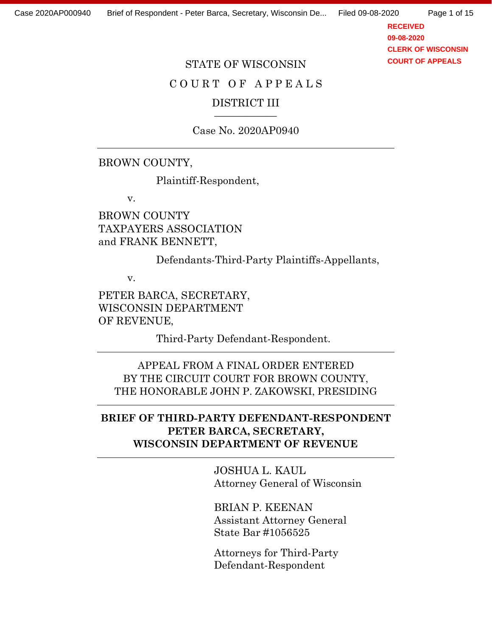Page 1 of 15

**RECEIVED 09-08-2020 CLERK OF WISCONSIN COURT OF APPEALS**

#### STATE OF WISCONSIN

# COURT OF APPEALS

## DISTRICT III

Case No. 2020AP0940

### BROWN COUNTY,

Plaintiff-Respondent,

v.

BROWN COUNTY TAXPAYERS ASSOCIATION and FRANK BENNETT,

Defendants-Third-Party Plaintiffs-Appellants,

v.

PETER BARCA, SECRETARY, WISCONSIN DEPARTMENT OF REVENUE,

Third-Party Defendant-Respondent.

APPEAL FROM A FINAL ORDER ENTERED BY THE CIRCUIT COURT FOR BROWN COUNTY, THE HONORABLE JOHN P. ZAKOWSKI, PRESIDING

## **BRIEF OF THIRD-PARTY DEFENDANT-RESPONDENT PETER BARCA, SECRETARY, WISCONSIN DEPARTMENT OF REVENUE**

JOSHUA L. KAUL Attorney General of Wisconsin

BRIAN P. KEENAN Assistant Attorney General State Bar #1056525

Attorneys for Third-Party Defendant-Respondent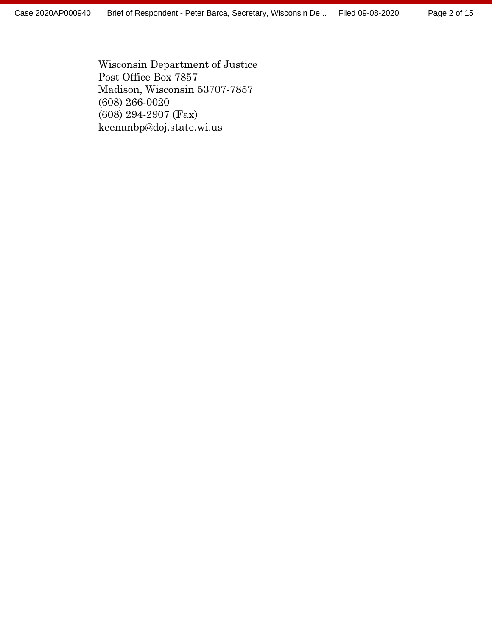Wisconsin Department of Justice Post Office Box 7857 Madison, Wisconsin 53707-7857 (608) 266-0020 (608) 294-2907 (Fax) keenanbp@doj.state.wi.us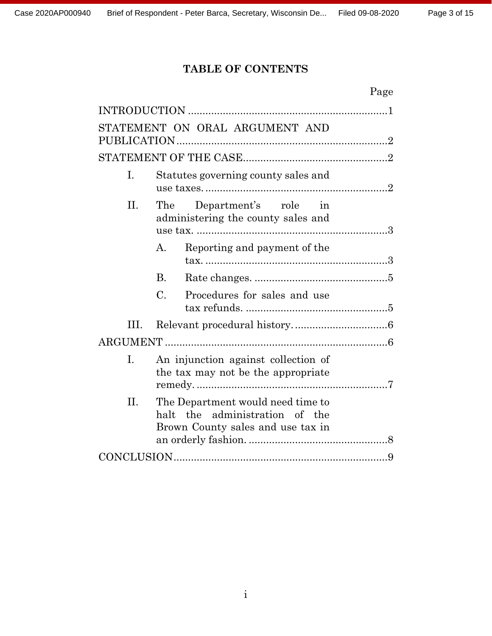# **TABLE OF CONTENTS**

| Page                                                                                                            |  |  |
|-----------------------------------------------------------------------------------------------------------------|--|--|
|                                                                                                                 |  |  |
| STATEMENT ON ORAL ARGUMENT AND                                                                                  |  |  |
|                                                                                                                 |  |  |
| Ι.<br>Statutes governing county sales and                                                                       |  |  |
| II.<br>Department's role in<br>The<br>administering the county sales and                                        |  |  |
| Reporting and payment of the<br>A.                                                                              |  |  |
| <b>B.</b>                                                                                                       |  |  |
| $\mathcal{C}$ .<br>Procedures for sales and use                                                                 |  |  |
| III.                                                                                                            |  |  |
|                                                                                                                 |  |  |
| I.<br>An injunction against collection of<br>the tax may not be the appropriate                                 |  |  |
| II.<br>The Department would need time to<br>halt the administration of the<br>Brown County sales and use tax in |  |  |
|                                                                                                                 |  |  |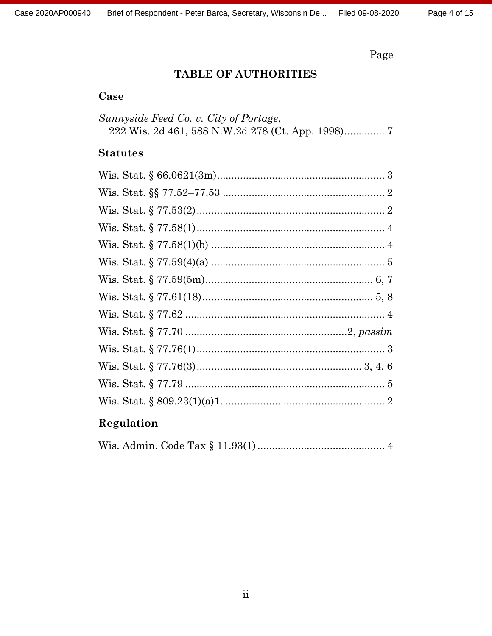# Page

# TABLE OF AUTHORITIES

# Case

| Sunnyside Feed Co. v. City of Portage, |  |
|----------------------------------------|--|
|                                        |  |

# **Statutes**

# Regulation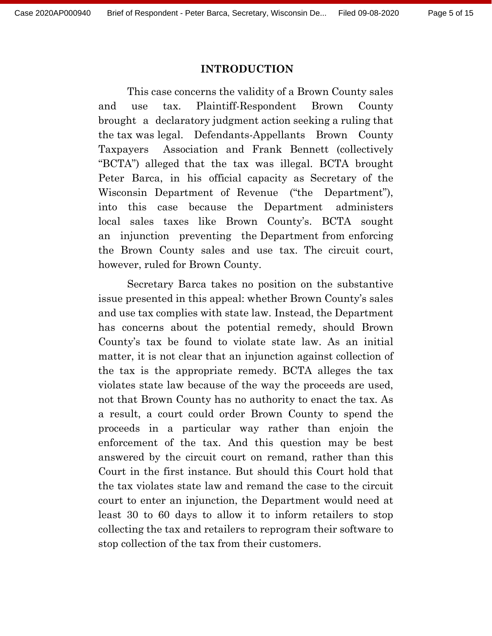#### **INTRODUCTION**

This case concerns the validity of a Brown County sales and use tax. Plaintiff-Respondent Brown County brought a declaratory judgment action seeking a ruling that the tax was legal. Defendants-Appellants Brown County Taxpayers Association and Frank Bennett (collectively "BCTA") alleged that the tax was illegal. BCTA brought Peter Barca, in his official capacity as Secretary of the Wisconsin Department of Revenue ("the Department"), into this case because the Department administers local sales taxes like Brown County's. BCTA sought an injunction preventing the Department from enforcing the Brown County sales and use tax. The circuit court, however, ruled for Brown County.

Secretary Barca takes no position on the substantive issue presented in this appeal: whether Brown County's sales and use tax complies with state law. Instead, the Department has concerns about the potential remedy, should Brown County's tax be found to violate state law. As an initial matter, it is not clear that an injunction against collection of the tax is the appropriate remedy. BCTA alleges the tax violates state law because of the way the proceeds are used, not that Brown County has no authority to enact the tax. As a result, a court could order Brown County to spend the proceeds in a particular way rather than enjoin the enforcement of the tax. And this question may be best answered by the circuit court on remand, rather than this Court in the first instance. But should this Court hold that the tax violates state law and remand the case to the circuit court to enter an injunction, the Department would need at least 30 to 60 days to allow it to inform retailers to stop collecting the tax and retailers to reprogram their software to stop collection of the tax from their customers.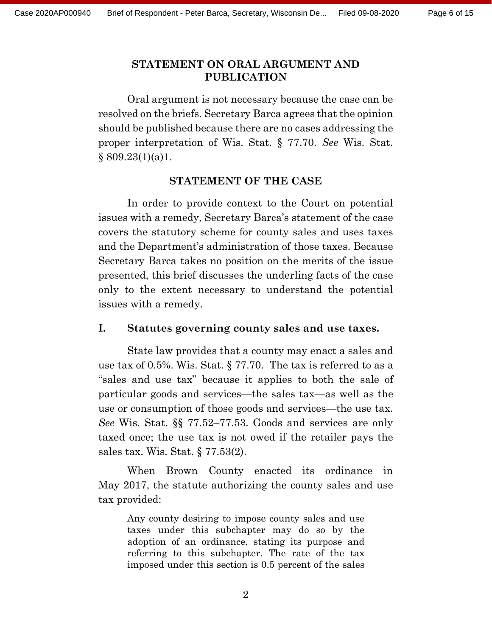### **STATEMENT ON ORAL ARGUMENT AND PUBLICATION**

Oral argument is not necessary because the case can be resolved on the briefs. Secretary Barca agrees that the opinion should be published because there are no cases addressing the proper interpretation of Wis. Stat. § 77.70. *See* Wis. Stat.  $§ 809.23(1)(a)1.$ 

#### **STATEMENT OF THE CASE**

In order to provide context to the Court on potential issues with a remedy, Secretary Barca's statement of the case covers the statutory scheme for county sales and uses taxes and the Department's administration of those taxes. Because Secretary Barca takes no position on the merits of the issue presented, this brief discusses the underling facts of the case only to the extent necessary to understand the potential issues with a remedy.

### **I. Statutes governing county sales and use taxes.**

State law provides that a county may enact a sales and use tax of 0.5%. Wis. Stat. § 77.70. The tax is referred to as a "sales and use tax" because it applies to both the sale of particular goods and services—the sales tax—as well as the use or consumption of those goods and services—the use tax. *See* Wis. Stat. §§ 77.52–77.53. Goods and services are only taxed once; the use tax is not owed if the retailer pays the sales tax. Wis. Stat. § 77.53(2).

When Brown County enacted its ordinance in May 2017, the statute authorizing the county sales and use tax provided:

Any county desiring to impose county sales and use taxes under this subchapter may do so by the adoption of an ordinance, stating its purpose and referring to this subchapter. The rate of the tax imposed under this section is 0.5 percent of the sales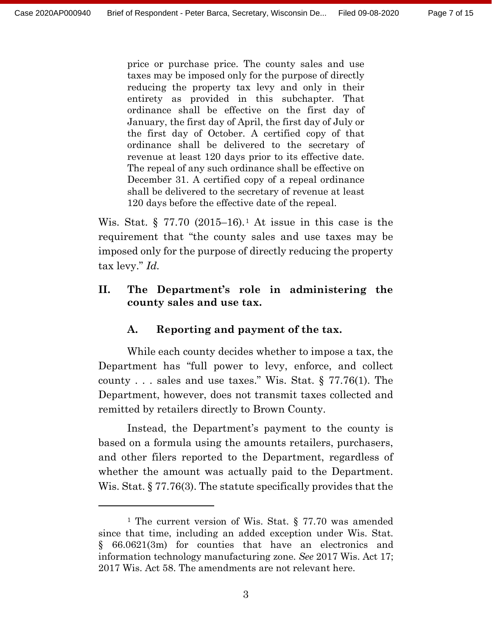price or purchase price. The county sales and use taxes may be imposed only for the purpose of directly reducing the property tax levy and only in their entirety as provided in this subchapter. That ordinance shall be effective on the first day of January, the first day of April, the first day of July or the first day of October. A certified copy of that ordinance shall be delivered to the secretary of revenue at least 120 days prior to its effective date. The repeal of any such ordinance shall be effective on December 31. A certified copy of a repeal ordinance shall be delivered to the secretary of revenue at least 120 days before the effective date of the repeal.

Wis. Stat.  $\S 77.70 (2015–16).$  $\S 77.70 (2015–16).$  $\S 77.70 (2015–16).$ <sup>1</sup> At issue in this case is the requirement that "the county sales and use taxes may be imposed only for the purpose of directly reducing the property tax levy." *Id.*

## **II. The Department's role in administering the county sales and use tax.**

## **A. Reporting and payment of the tax.**

While each county decides whether to impose a tax, the Department has "full power to levy, enforce, and collect county . . . sales and use taxes." Wis. Stat. § 77.76(1). The Department, however, does not transmit taxes collected and remitted by retailers directly to Brown County.

Instead, the Department's payment to the county is based on a formula using the amounts retailers, purchasers, and other filers reported to the Department, regardless of whether the amount was actually paid to the Department. Wis. Stat. § 77.76(3). The statute specifically provides that the

<span id="page-6-0"></span><sup>&</sup>lt;sup>1</sup> The current version of Wis. Stat. § 77.70 was amended since that time, including an added exception under Wis. Stat. § 66.0621(3m) for counties that have an electronics and information technology manufacturing zone. *See* 2017 Wis. Act 17; 2017 Wis. Act 58. The amendments are not relevant here.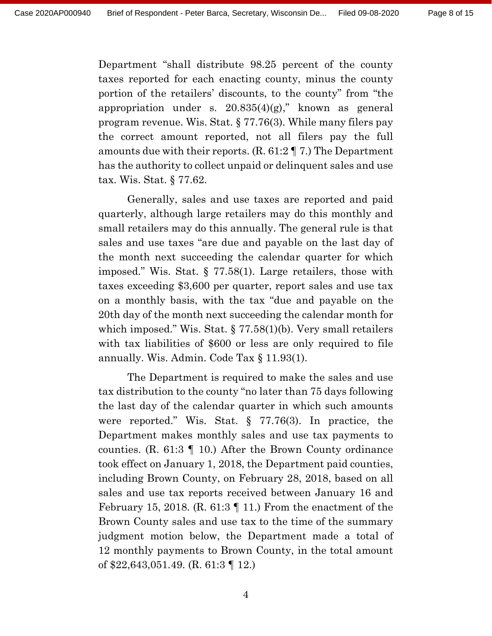Department "shall distribute 98.25 percent of the county taxes reported for each enacting county, minus the county portion of the retailers' discounts, to the county" from "the appropriation under s.  $20.835(4)(g)$ ," known as general program revenue. Wis. Stat. § 77.76(3). While many filers pay the correct amount reported, not all filers pay the full amounts due with their reports. (R. 61:2 ¶ 7.) The Department has the authority to collect unpaid or delinquent sales and use tax. Wis. Stat. § 77.62.

Generally, sales and use taxes are reported and paid quarterly, although large retailers may do this monthly and small retailers may do this annually. The general rule is that sales and use taxes "are due and payable on the last day of the month next succeeding the calendar quarter for which imposed." Wis. Stat. § 77.58(1). Large retailers, those with taxes exceeding \$3,600 per quarter, report sales and use tax on a monthly basis, with the tax "due and payable on the 20th day of the month next succeeding the calendar month for which imposed." Wis. Stat. § 77.58(1)(b). Very small retailers with tax liabilities of \$600 or less are only required to file annually. Wis. Admin. Code Tax § 11.93(1).

The Department is required to make the sales and use tax distribution to the county "no later than 75 days following the last day of the calendar quarter in which such amounts were reported." Wis. Stat. § 77.76(3). In practice, the Department makes monthly sales and use tax payments to counties. (R. 61:3 ¶ 10.) After the Brown County ordinance took effect on January 1, 2018, the Department paid counties, including Brown County, on February 28, 2018, based on all sales and use tax reports received between January 16 and February 15, 2018. (R. 61:3  $\parallel$  11.) From the enactment of the Brown County sales and use tax to the time of the summary judgment motion below, the Department made a total of 12 monthly payments to Brown County, in the total amount of \$22,643,051.49. (R. 61:3 ¶ 12.)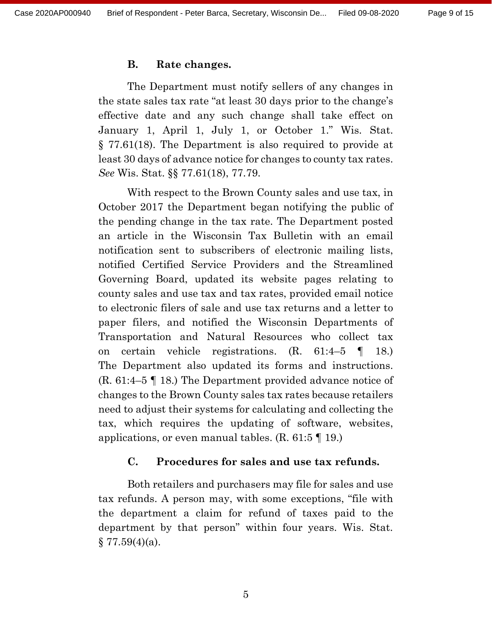#### **B. Rate changes.**

The Department must notify sellers of any changes in the state sales tax rate "at least 30 days prior to the change's effective date and any such change shall take effect on January 1, April 1, July 1, or October 1." Wis. Stat. § 77.61(18). The Department is also required to provide at least 30 days of advance notice for changes to county tax rates. *See* Wis. Stat. §§ 77.61(18), 77.79.

With respect to the Brown County sales and use tax, in October 2017 the Department began notifying the public of the pending change in the tax rate. The Department posted an article in the Wisconsin Tax Bulletin with an email notification sent to subscribers of electronic mailing lists, notified Certified Service Providers and the Streamlined Governing Board, updated its website pages relating to county sales and use tax and tax rates, provided email notice to electronic filers of sale and use tax returns and a letter to paper filers, and notified the Wisconsin Departments of Transportation and Natural Resources who collect tax on certain vehicle registrations. (R. 61:4–5 ¶ 18.) The Department also updated its forms and instructions. (R. 61:4–5 ¶ 18.) The Department provided advance notice of changes to the Brown County sales tax rates because retailers need to adjust their systems for calculating and collecting the tax, which requires the updating of software, websites, applications, or even manual tables.  $(R, 61.5 \text{ T} \text{ 19.})$ 

#### **C. Procedures for sales and use tax refunds.**

Both retailers and purchasers may file for sales and use tax refunds. A person may, with some exceptions, "file with the department a claim for refund of taxes paid to the department by that person" within four years. Wis. Stat.  $\S 77.59(4)(a)$ .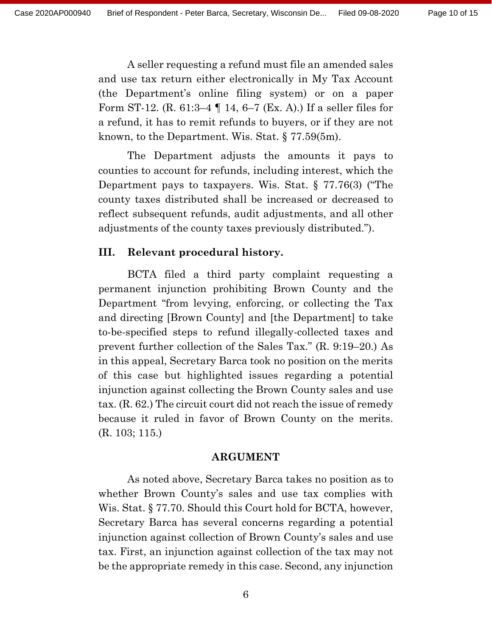A seller requesting a refund must file an amended sales and use tax return either electronically in My Tax Account (the Department's online filing system) or on a paper Form ST-12. (R. 61:3–4 ¶ 14, 6–7 (Ex. A).) If a seller files for a refund, it has to remit refunds to buyers, or if they are not known, to the Department. Wis. Stat. § 77.59(5m).

The Department adjusts the amounts it pays to counties to account for refunds, including interest, which the Department pays to taxpayers. Wis. Stat. § 77.76(3) ("The county taxes distributed shall be increased or decreased to reflect subsequent refunds, audit adjustments, and all other adjustments of the county taxes previously distributed.").

### **III. Relevant procedural history.**

BCTA filed a third party complaint requesting a permanent injunction prohibiting Brown County and the Department "from levying, enforcing, or collecting the Tax and directing [Brown County] and [the Department] to take to-be-specified steps to refund illegally-collected taxes and prevent further collection of the Sales Tax." (R. 9:19–20.) As in this appeal, Secretary Barca took no position on the merits of this case but highlighted issues regarding a potential injunction against collecting the Brown County sales and use tax. (R. 62.) The circuit court did not reach the issue of remedy because it ruled in favor of Brown County on the merits. (R. 103; 115.)

#### **ARGUMENT**

As noted above, Secretary Barca takes no position as to whether Brown County's sales and use tax complies with Wis. Stat. § 77.70. Should this Court hold for BCTA, however, Secretary Barca has several concerns regarding a potential injunction against collection of Brown County's sales and use tax. First, an injunction against collection of the tax may not be the appropriate remedy in this case. Second, any injunction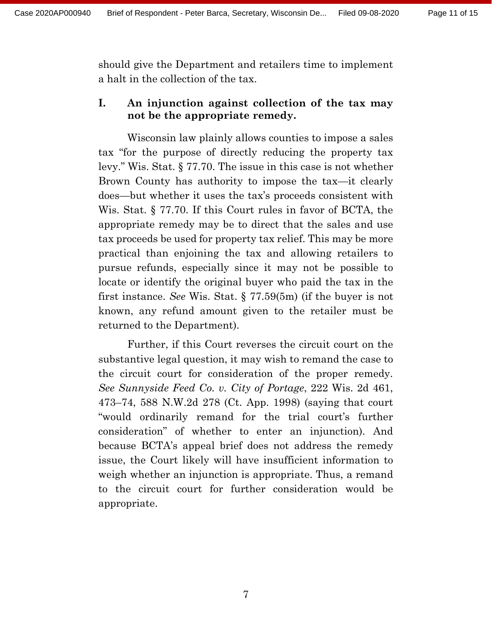should give the Department and retailers time to implement a halt in the collection of the tax.

### **I. An injunction against collection of the tax may not be the appropriate remedy.**

Wisconsin law plainly allows counties to impose a sales tax "for the purpose of directly reducing the property tax levy." Wis. Stat. § 77.70. The issue in this case is not whether Brown County has authority to impose the tax—it clearly does—but whether it uses the tax's proceeds consistent with Wis. Stat. § 77.70. If this Court rules in favor of BCTA, the appropriate remedy may be to direct that the sales and use tax proceeds be used for property tax relief. This may be more practical than enjoining the tax and allowing retailers to pursue refunds, especially since it may not be possible to locate or identify the original buyer who paid the tax in the first instance. *See* Wis. Stat. § 77.59(5m) (if the buyer is not known, any refund amount given to the retailer must be returned to the Department).

Further, if this Court reverses the circuit court on the substantive legal question, it may wish to remand the case to the circuit court for consideration of the proper remedy. *See Sunnyside Feed Co. v. City of Portage*, 222 Wis. 2d 461, 473–74, 588 N.W.2d 278 (Ct. App. 1998) (saying that court "would ordinarily remand for the trial court's further consideration" of whether to enter an injunction). And because BCTA's appeal brief does not address the remedy issue, the Court likely will have insufficient information to weigh whether an injunction is appropriate. Thus, a remand to the circuit court for further consideration would be appropriate.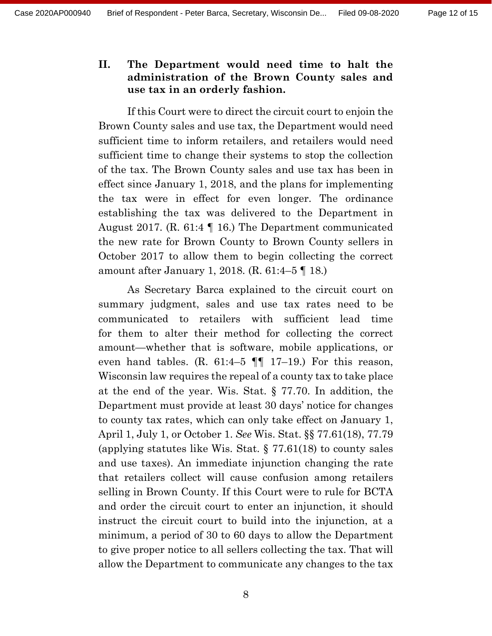## **II. The Department would need time to halt the administration of the Brown County sales and use tax in an orderly fashion.**

If this Court were to direct the circuit court to enjoin the Brown County sales and use tax, the Department would need sufficient time to inform retailers, and retailers would need sufficient time to change their systems to stop the collection of the tax. The Brown County sales and use tax has been in effect since January 1, 2018, and the plans for implementing the tax were in effect for even longer. The ordinance establishing the tax was delivered to the Department in August 2017. (R. 61:4 ¶ 16.) The Department communicated the new rate for Brown County to Brown County sellers in October 2017 to allow them to begin collecting the correct amount after January 1, 2018. (R. 61:4–5 ¶ 18.)

As Secretary Barca explained to the circuit court on summary judgment, sales and use tax rates need to be communicated to retailers with sufficient lead time for them to alter their method for collecting the correct amount—whether that is software, mobile applications, or even hand tables. (R. 61:4–5  $\P\P$  17–19.) For this reason, Wisconsin law requires the repeal of a county tax to take place at the end of the year. Wis. Stat. § 77.70. In addition, the Department must provide at least 30 days' notice for changes to county tax rates, which can only take effect on January 1, April 1, July 1, or October 1. *See* Wis. Stat. §§ 77.61(18), 77.79 (applying statutes like Wis. Stat. § 77.61(18) to county sales and use taxes). An immediate injunction changing the rate that retailers collect will cause confusion among retailers selling in Brown County. If this Court were to rule for BCTA and order the circuit court to enter an injunction, it should instruct the circuit court to build into the injunction, at a minimum, a period of 30 to 60 days to allow the Department to give proper notice to all sellers collecting the tax. That will allow the Department to communicate any changes to the tax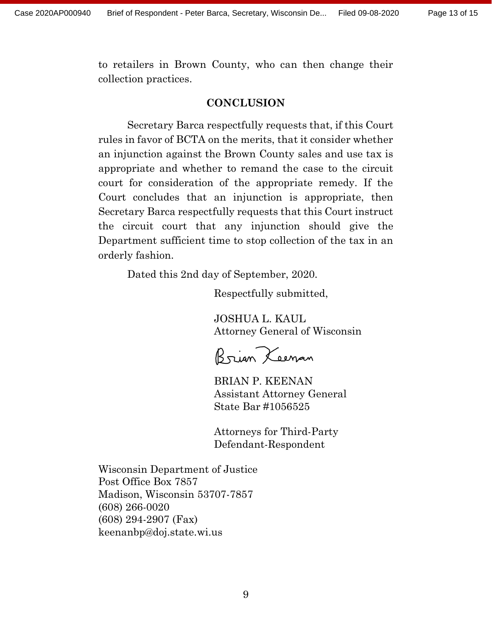to retailers in Brown County, who can then change their collection practices.

### **CONCLUSION**

Secretary Barca respectfully requests that, if this Court rules in favor of BCTA on the merits, that it consider whether an injunction against the Brown County sales and use tax is appropriate and whether to remand the case to the circuit court for consideration of the appropriate remedy. If the Court concludes that an injunction is appropriate, then Secretary Barca respectfully requests that this Court instruct the circuit court that any injunction should give the Department sufficient time to stop collection of the tax in an orderly fashion.

Dated this 2nd day of September, 2020.

Respectfully submitted,

JOSHUA L. KAUL Attorney General of Wisconsin

Brian Xeenan

BRIAN P. KEENAN Assistant Attorney General State Bar #1056525

Attorneys for Third-Party Defendant-Respondent

Wisconsin Department of Justice Post Office Box 7857 Madison, Wisconsin 53707-7857 (608) 266-0020 (608) 294-2907 (Fax) keenanbp@doj.state.wi.us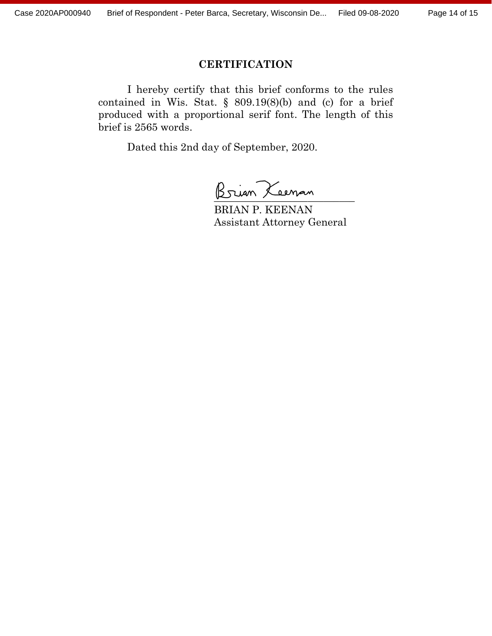### **CERTIFICATION**

I hereby certify that this brief conforms to the rules contained in Wis. Stat.  $\S$  809.19(8)(b) and (c) for a brief produced with a proportional serif font. The length of this brief is 2565 words.

Dated this 2nd day of September, 2020.

Brian Keenan

BRIAN P. KEENAN Assistant Attorney General